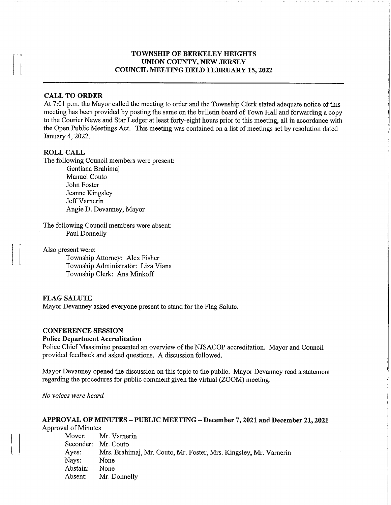## TOWNSHIP OF BERKELEY HEIGHTS UNION COUNTY, NEW JERSEY COUNCIL MEETING HELD FEBRUARY 15, 2022

### CALL TO ORDER

At 7:01 p.m. the Mayor called the meeting to order and the Township Clerk stated adequate notice of this meeting has been provided by posting the same on the bulletin board of Town Hall and forwarding a copy to the Courier News and Star Ledger at least forty-eight hours prior to this meeting, all in accordance with the Open Public Meetings Act. This meeting was contained on a list of meetings set by resolution dated January 4,2022.

### ROLL CALL

The following Council members were present:

Gentiana Brahimaj Manuel Couto John Foster Jeanne Kingsley Jeff Varnerin Angie D. Devanney, Mayor

The following Council members were absent: Paul Donnelly

Also present were:

Township Attorney: Alex Fisher Township Administrator: Liza Viana Township Clerk: Ana Minkoff

#### FLAG SALUTE

Mayor Devanney asked everyone present to stand for the Flag Salute.

#### CONFERENCE SESSION

#### Police Department Accreditation

Police Chief Massimino presented an overview of the NJSACOP accreditation. Mayor and Council provided feedback and asked questions. A discussion followed.

Mayor Devanney opened the discussion on this topic to the public. Mayor Devanney read a statement regarding the procedures for public comment given the virtual (ZOOM) meeting.

No voices were heard.

#### APPROVAL OF MINUTES - PUBLIC MEETING - December 7,2021 and December 21,2021 Approval of Minutes

Mover: Mr. Varnerin Seconder: Mr. Couto Ayes: Mrs. Brahimaj, Mr. Couto, Mr. Foster, Mrs. Kingsley, Mr. Vamerin Nays: None Abstain: None Absent: Mr. Donnelly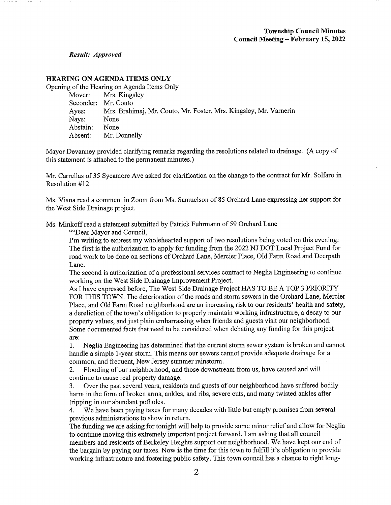Result: Approved

### HEARING ON AGENDA ITEMS ONLY

Opening of the Hearing on Agenda Items Only

Mover: Mrs. Kingsley Seconder: Mr. Couto Ayes: Mrs. Brahimaj, Mr. Couto, Mr. Foster, Mrs. Kingsley, Mr. Vamerin Nays: None Abstain: None Absent: Mr. Donnelly

Mayor Devanney provided clarifying remarks regarding the resolutions related to drainage. (A copy of this statement is attached to the permanent minutes.)

Mr. Carrellas of 35 Sycamore Ave asked for clarification on the change to the contract for Mr. Solfaro in Resolution #12.

Ms. Viana read a comment in Zoom from Ms. Samuelson of 85 Orchard Lane expressing her support for the West Side Drainage project.

Ms. Minkoffread a statement submitted by Patrick Fuhrmann of 59 Orchard Lane

""Dear Mayor and Council,

I'm writing to express my wholehearted support of two resolutions being voted on this evening: The first is the authorization to apply for funding from the 2022 NJ DOT Local Project Fund for road work to be done on sections of Orchard Lane, Mercier Place, Old Farm Road and Deerpath Lane.

The second is authorization of a professional services contract to Neglia Engineering to continue working on the West Side Drainage Improvement Project.

As I have expressed before, The West Side Drainage Project HAS TO BE A TOP 3 PRIORITY FOR THIS TOWN. The deterioration of the roads and storm sewers in the Orchard Lane, Mercier Place, and Old Farm Road neighborhood are an increasing risk to our residents' health and safety, a dereliction of the town's obligation to properly maintain working infrastructure, a decay to our property values, and just plain embarrassing when friends and guests visit our neighborhood. Some documented facts that need to be considered when debating any funding for this project are:

1. Neglia Engineering has determined that the current storm sewer system is broken and cannot handle a simple 1-year storm. This means our sewers cannot provide adequate drainage for a common, and frequent, New Jersey summer rainstorm.

2. Flooding of our neighborhood, and those downstream from us, have caused and will continue to cause real property damage.

3. Over the past several years, residents and guests of our neighborhood have suffered bodily harm in the form of broken arms, ankles, and ribs, severe cuts, and many twisted ankles after tripping in our abundant potholes.

4. We have been paying taxes for many decades with little but empty promises from several previous administrations to show in return.

The funding we are asking for tonight will help to provide some minor relief and allow for Neglia to continue moving this extremely important project forward. I am asking that all council members and residents of Berkeley Heights support our neighborhood. We have kept our end of the bargain by paying our taxes. Now is the time for this town to fulfill it's obligation to provide working infrastructure and fostering public safety. This town council has a chance to right long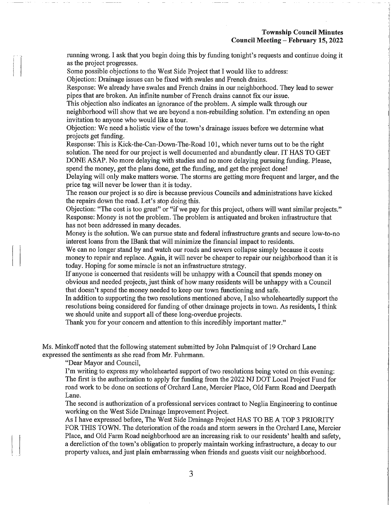running wrong. I ask that you begin doing this by funding tonight's requests and continue doing it as the project progresses.

Some possible objections to the West Side Project that I would like to address:

Objection: Drainage issues can be fixed with swales and French drains.

Response: We already have swales and French drains in our neighborhood. They lead to sewer pipes that are broken. An infinite number of French drains cannot fix our issue.

This objection also indicates an ignorance of the problem. A simple walk through our neighborhood will show that we are beyond a non-rebuilding solution. I'm extending an open invitation to anyone who would like a tour.

Objection: We need a holistic view of the town's drainage issues before we determine what projects get funding.

Response: This is Kick-the-Can-Down-The-Road 101, which never turns out to be the right solution. The need for our project is well documented and abundantly clear. IT HAS TO GET DONE ASAP. No more delaying with studies and no more delaying pursuing funding. Please, spend the money, get the plans done, get the funding, and get the project done!

Delaying will only make matters worse. The storms are getting more frequent and larger, and the price tag will never be lower than it is today.

The reason our project is so dire is because previous Councils and administrations have kicked the repairs down the road. Let's stop doing this.

Objection: "The cost is too great" or "if we pay for this project, others will want similar projects." Response: Money is not the problem. The problem is antiquated and broken infrastructure that has not been addressed in many decades.

Money is the solution. We can pursue state and federal infrastructire grants and secure low-to-no interest loans from the IBank that will minimize the financial impact to residents.

We can no longer stand by and watch our roads and sewers collapse simply because it costs money to repair and replace. Again, it will never be cheaper to repair our neighborhood than it is today. Hoping for some miracle is not an infrastructure strategy.

If anyone is concerned that residents will be unhappy with a Council that spends money on obvious and needed projects, just think of how many residents will be unhappy with a Council that doesn't spend the money needed to keep our town functioning and safe.

In addition to supporting the two resolutions mentioned above, I also wholeheartedly support the resolutions being considered for funding of other drainage projects in town. As residents, I think we should unite and support all of these long-overdue projects.

Thank you for your concern and attention to this incredibly important matter."

Ms. Minkoff noted that the following statement submitted by John Palmquist of 19 Orchard Lane expressed the sentiments as she read from Mr. Fuhrmann.

"Dear Mayor and Council,

I'm writing to express my wholehearted support of two resolutions being voted on this evening: The first is the authorization to apply for funding from the 2022 NJ DOT Local Project Fund for road work to be done on sections of Orchard Lane, Mercier Place, Old Farm Road and Deerpath Lane.

The second is authorization of a professional services contract to Neglia Engineering to continue working on the West Side Drainage Improvement Project.

As I have expressed before, The West Side Drainage Project HAS TO BE A TOP 3 PRIORITY FOR THIS TOWN. The deterioration of the roads and storm sewers in the Orchard Lane, Mercier Place, and Old Farm Road neighborhood are an increasing risk to our residents' health and safety, a dereliction of the town's obligation to properly maintain working infrastructure, a decay to our property values, and just plain embarrassing when friends and guests visit our neighborhood.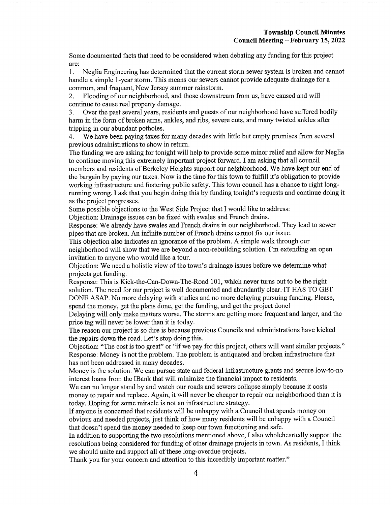Some documented facts that need to be considered when debating any funding for this project are:

1. Neglia Engineering has determined that the current storm sewer system is broken and cannot handle a simple 1-year storm. This means our sewers cannot provide adequate drainage for a common, and frequent, New Jersey summer rainstorm.

2. Flooding of our neighborhood, and those downstream from us, have caused and will continue to cause real property damage.

3. Over the past several years, residents and guests of our neighborhood have suffered bodily harm in the form of broken arms, ankles, and ribs, severe cuts, and many twisted ankles after tripping in our abundant potholes.

4. We have been paying taxes for many decades with little but empty promises from several previous administrations to show in return.

The funding we are asking for tonight will help to provide some minor relief and allow for Neglia to continue moving this extremely important project forward. I am asking that all council members and residents of Berkeley Heights support our neighborhood. We have kept our end of the bargain by paying our taxes. Now is the time for this town to fulfill it's obligation to provide working infrastructure and fostering public safety. This town council has a chance to right longrunning wrong. I ask that you begin doing this by funding tonight's requests and continue doing it as the project progresses.

Some possible objections to the West Side Project that I would like to address:

Objection: Drainage issues can be fixed with swales and French drains.

Response: We already have swales and French drains in our neighborhood. They lead to sewer pipes that are broken. An infinite number of French drains cannot fix our issue.

This objection also indicates an ignorance of the problem. A simple walk through our neighborhood will show that we are beyond a non-rebuilding solution. I'm extending an open invitation to anyone who would like a tour.

Objection: We need a holistic view of the town's drainage issues before we determine what projects get funding.

Response: This is Kick-the-Can-Down-The-Road 101, which never turns out to be the right solution. The need for our project is well documented and abundantly clear. IT HAS TO GET DONE ASAP. No more delaying with studies and no more delaying pursuing funding. Please, spend the money, get the plans done, get the funding, and get the project done!

Delaying will only make matters worse. The storms are getting more frequent and larger, and the price tag will never be lower than it is today.

The reason our project is so dire is because previous Councils and administrations have kicked the repairs down the road. Let's stop doing this.

Objection: "The cost is too great" or "if we pay for this project, others will want similar projects." Response: Money is not the problem. The problem is antiquated and broken infrastructire that has not been addressed in many decades.

Money is the solution. We can pursue state and federal infrastructure grants and secure low-to-no interest loans from the IBank that will minimize the financial impact to residents.

We can no longer stand by and watch our roads and sewers collapse simply because it costs money to repair and replace. Again, it will never be cheaper to repair our neighborhood than it is today. Hoping for some miracle is not an infrastructure strategy.

If anyone is concerned that residents will be unhappy with a Council that spends money on obvious and needed projects, just think of how many residents will be unhappy with a Council that doesn't spend the money needed to keep our town functioning and safe.

In addition to supporting the two resolutions mentioned above, I also wholeheartedly support the resolutions being considered for funding of other drainage projects in town. As residents, I think we should unite and support all of these long-overdue projects.

Thank you for your concern and attention to this incredibly important matter."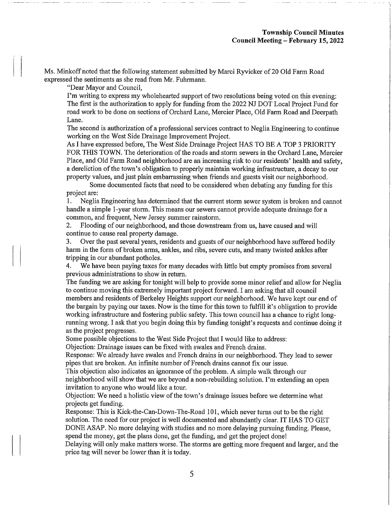Ms. Minkoff noted that the following statement submitted by Marci Ryvicker of 20 Old Farm Road expressed the sentiments as she read from Mr. Fuhrmann.

"Dear Mayor and Council,

I'm writing to express my wholehearted support of two resolutions being voted on this evening: The first is the authorization to apply for funding from the 2022 NJ DOT Local Project Fund for road work to be done on sections of Orchard Lane, Mercier Place, Old Farm Road and Deerpath Lane.

The second is authorization of a professional services contract to Neglia Engineering to continue working on the West Side Drainage Improvement Project.

As I have expressed before, The West Side Drainage Project HAS TO BE A TOP 3 PRIORITY FOR THIS TOWN. The deterioration of the roads and storm sewers in the Orchard Lane, Mercier Place, and Old Farm Road neighborhood are an increasing risk to our residents' health and safety, a dereliction of the town's obligation to properly maintain working infrastructure, a decay to our property values, and just plain embarrassing when friends and guests visit our neighborhood.

Some documented facts that need to be considered when debating any funding for this project are:

1. Neglia Engineering has determined that the current storm sewer system is broken and cannot handle a simple 1-year storm. This means our sewers cannot provide adequate drainage for a common, and frequent, New Jersey summer rainstorm.

2. Flooding of our neighborhood, and those downstream from us, have caused and will continue to cause real property damage.

3. Over the past several years, residents and guests of our neighborhood have suffered bodily harm in the form of broken arms, ankles, and ribs, severe cuts, and many twisted ankles after tripping in our abundant potholes.

4. We have been paying taxes for many decades with little but empty promises from several previous administrations to show in return.

The funding we are asking for tonight will help to provide some minor relief and allow for Neglia to continue moving this extremely important project forward. I am asking that all council members and residents of Berkeley Heights support our neighborhood. We have kept our end of the bargain by paying our taxes. Now is the time for this town to fulfill it's obligation to provide working infrastructure and fostering public safety. This town council has a chance to right longrunning wrong. I ask that you begin doing this by funding tonight's requests and continue doing it as the project progresses.

Some possible objections to the West Side Project that I would like to address:

Objection: Drainage issues can be fixed with swales and French drains.

Response: We already have swales and French drains in our neighborhood. They lead to sewer pipes that are broken. An infinite number of French drains cannot fix our issue.

This objection also indicates an ignorance of the problem. A simple walk through our neighborhood will show that we are beyond a non-rebuilding solution. I'm extending an open invitation to anyone who would like a tour.

Objection: We need a holistic view of the town's drainage issues before we determine what projects get funding.

Response: This is Kick-the-Can-Down-The-Road 101, which never turns out to be the right solution. The need for our project is well documented and abundantly clear. IT HAS TO GET DONE ASAP. No more delaying with studies and no more delaying pursuing funding. Please, spend the money, get the plans done, get the funding, and get the project done!

Delaying will only make matters worse. The storms are getting more frequent and larger, and the price tag will never be lower than it is today.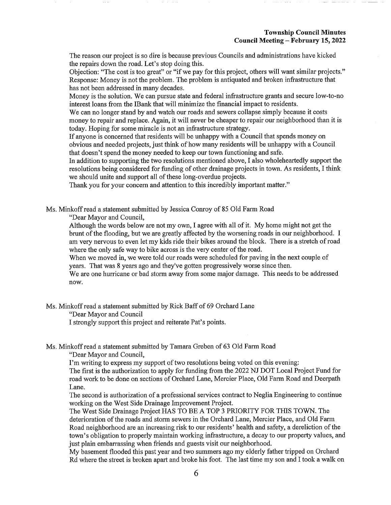The reason our project is so dire is because previous Councils and administrations have kicked the repairs down the road. Let's stop doing this.

Objection: "The cost is too great" or "if we pay for this project, others will want similar projects." Response: Money is not the problem. The problem is antiquated and broken infrastructure that has not been addressed in many decades.

Money is the solution. We can pursue state and federal infrastructure grants and secure low-to-no interest loans from the IBank that will minimize the financial impact to residents.

We can no longer stand by and watch our roads and sewers collapse simply because it costs money to repair and replace. Again, it will never be cheaper to repair our neighborhood than it is today. Hoping for some miracle is not an infrastructure strategy.

If anyone is concerned that residents will be unhappy with a Council that spends money on obvious and needed projects, just think of how many residents will be unhappy with a Council that doesn't spend the money needed to keep our town functioning and safe.

In addition to supporting the two resolutions mentioned above, I also wholeheartedly support the resolutions being considered for funding of other drainage projects in town. As residents, I think we should unite and support all of these long-overdue projects.

Thank you for your concern and attention to this incredibly important matter."

Ms. Minkoffread a statement submitted by Jessica Conroy of 85 Old Farm Road

"Dear Mayor and Council,

Although the words below are not my own, I agree with all of it. My home might not get the brunt of the flooding, but we are greatly affected by the worsening roads in our neighborhood. I am very nervous to even let my kids ride their bikes around the block. There is a stretch of road where the only safe way to bike across is the very center of the road.

When we moved in, we were told our roads were scheduled for paving in the next couple of years. That was 8 years ago and they've gotten progressively worse since then.

We are one hurricane or bad storm away from some major damage. This needs to be addressed now.

Ms. Minkoff read a statement submitted by Rick Baff of 69 Orchard Lane

"Dear Mayor and Council

I strongly support this project and reiterate Pat's points.

Ms. Minkoff read a statement submitted by Tamara Greben of 63 Old Farm Road

"Dear Mayor and Council,

I'm writing to express my support of two resolutions being voted on this evening:

The first is the authorization to apply for funding from the 2022 NJ DOT Local Project Fund for road work to be done on sections of Orchard Lane, Mercier Place, Old Farm Road and Deerpath Lane.

The second is authorization of a professional services contract to Neglia Engineering to continue working on the West Side Drainage Improvement Project.

The West Side Drainage Project HAS TO BE A TOP 3 PRIORITY FOR THIS TOWN. The deterioration of the roads and storm sewers in the Orchard Lane, Mercier Place, and Old Farm Road neighborhood are an increasing risk to our residents' health and safety, a dereliction of the town's obligation to properly maintain working infrastructure, a decay to our property values, and just plain embarrassing when friends and guests visit our neighborhood.

My basement flooded this past year and two summers ago my elderly father tripped on Orchard Rd where the street is broken apart and broke his foot. The last time my son and I took a walk on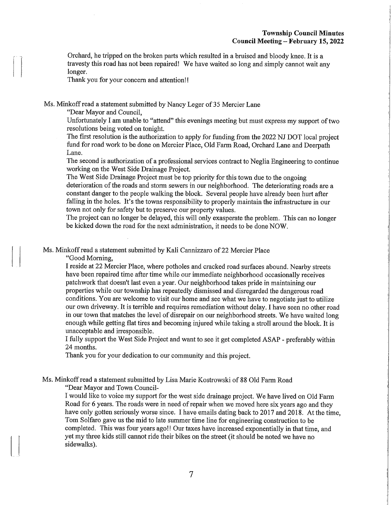Orchard, he tripped on the broken parts which resulted in a bruised and bloody knee. It is a travesty this road has not been repaired! We have waited so long and simply cannot wait any longer.

Thank you for your concern and attention!!

Ms. Minkoff read a statement submitted by Nancy Leger of 35 Mercier Lane

"Dear Mayor and Council,

Unfortunately I am unable to "attend" this evenings meeting but must express my support of two resolutions being voted on tonight.

The first resolution is the authorization to apply for funding from the 2022 NJ DOT local project fund for road work to be done on Mercier Place, Old Farm Road, Orchard Lane and Deerpath Lane.

The second is authorization of a professional services contract to Neglia Engineering to continue working on the West Side Drainage Project.

The West Side Drainage Project must be top priority for this town due to the ongoing deterioration of the roads and storm sewers in our neighborhood. The deteriorating roads are a constant danger to the people walking the block. Several people have already been hurt after falling in the holes. It's the towns responsibility to properly maintain the infrastructure in our town not only for safety but to preserve our property values.

The project can no longer be delayed, this will only exasperate the problem. This can no longer be kicked down the road for the next administration, it needs to be done NOW.

Ms. Minkoffread a statement submitted by Kali Cannizzaro of 22 Mercier Place

"Good Morning,

I reside at 22 Mercier Place, where potholes and cracked road surfaces abound. Nearby streets have been repaired time after time while our immediate neighborhood occasionally receives patchwork that doesn't last even a year. Our neighborhood takes pride in maintaining our properties while our township has repeatedly dismissed and disregarded the dangerous road conditions. You are welcome to visit our home and see what we have to negotiate just to utilize our own driveway. It is terrible and requires remediation without delay. I have seen no other road in our town that matches the level of disrepair on our neighborhood streets. We have waited long enough while getting flat tires and becoming injured while taking a stroll around the block. It is unacceptable and irresponsible.

I fully support the West Side Project and want to see it get completed ASAP - preferably within 24 months.

Thank you for your dedication to our community and this project.

Ms. Minkoffread a statement submitted by Lisa Marie Kostrowski of 88 Old Farm Road

"Dear Mayor and Town Council-

I would like to voice my support for the west side drainage project. We have lived on Old Farm Road for 6 years. The roads were in need of repair when we moved here six years ago and they have only gotten seriously worse since. I have emails dating back to 2017 and 2018. At the time, Tom Solfaro gave us the mid to late summer time line for engineering construction to be completed. This was four years ago!! Our taxes have increased exponentially in that time, and yet my three kids still cannot ride their bikes on the street (it should be noted we have no sidewalks).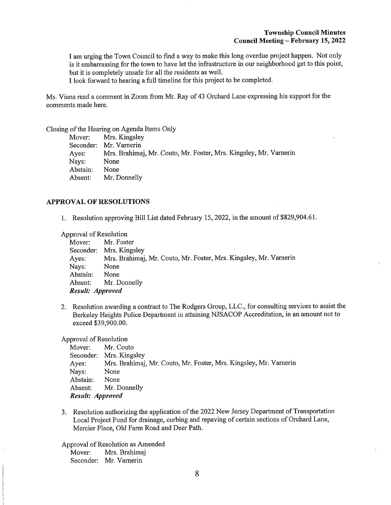$\mathbf{L}$ 

I am urging the Town Council to find a way to make this long overdue project happen. Not only is it embarrassing for the town to have let the infrastructure in our neighborhood get to this point, but it is completely unsafe for all the residents as well.

I look forward to hearing a full timeline for this project to be completed.

Ms. Viana read a comment in Zoom from Mr. Ray of 43 Orchard Lane expressing his support for the comments made here.

Closing of the Hearing on Agenda Items Only

|          | Mover: Mrs. Kingsley                                              |
|----------|-------------------------------------------------------------------|
|          | Seconder: Mr. Varnerin                                            |
| Ayes:    | Mrs. Brahimaj, Mr. Couto, Mr. Foster, Mrs. Kingsley, Mr. Varnerin |
| Nays:    | None                                                              |
| Abstain: | None                                                              |
| Absent:  | Mr. Donnelly                                                      |

#### APPROVAL OF RESOLUTIONS

1. Resolution approving Bill List dated February 15, 2022, in the amount of \$829,904.61.

Approval of Resolution

| Mover:           | Mr. Foster                                                        |
|------------------|-------------------------------------------------------------------|
|                  | Seconder: Mrs. Kingsley                                           |
| Ayes:            | Mrs. Brahimaj, Mr. Couto, Mr. Foster, Mrs. Kingsley, Mr. Varnerin |
| Nays:            | None                                                              |
| Abstain:         | None                                                              |
|                  | Absent: Mr. Donnelly                                              |
| Result: Approved |                                                                   |

2. Resolution awarding a contract to The Rodgers Group, LLC., for consulting services to assist the Berkeley Heights Police Department in attaining NJSACOP Accreditation, in an amount not to exceed \$39,900.00.

Approval of Resolution

| Mover:           | Mr. Couto                                                         |
|------------------|-------------------------------------------------------------------|
|                  | Seconder: Mrs. Kingsley                                           |
| Ayes:            | Mrs. Brahimaj, Mr. Couto, Mr. Foster, Mrs. Kingsley, Mr. Varnerin |
| Nays:            | None                                                              |
| Abstain:         | None                                                              |
|                  | Absent: Mr. Donnelly                                              |
| Result: Approved |                                                                   |

3. Resolution authorizing the application of the 2022 New Jersey Department of Transportation Local Project Fund for drainage, curbing and repaying of certain sections of Orchard Lane, Mercier Place, Old Farm Road and Deer Path.

Approval of Resolution as Amended Mover: Mrs. Brahimaj Seconder: Mr. Varnerin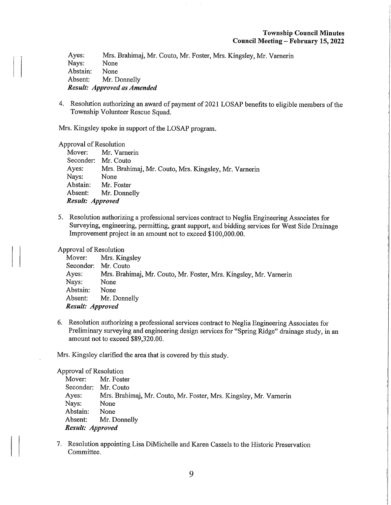Ayes: Mrs. Brahimaj, Mr. Couto, Mr. Foster, Mrs. Kingsley, Mr. Varnerin<br>Nays: None Nays: None<br>Abstain: None Abstain:<br>Absent: Mr. Donnelly Result: Approved as Amended

4. Resolution authorizing an award of payment of 2021 LOSAP benefits to eligible members of the Township Volunteer Rescue Squad.

Mrs. Kingsley spoke in support of the LOSAP program.

Approval of Resolution<br>Mover: Mr. Varr

Mr. Varnerin Seconder: Mr. Couto<br>Ayes: Mrs. Brahi Mrs. Brahimaj, Mr. Couto, Mrs. Kingsley, Mr. Varnerin<br>None Nays:<br>Abstain: Abstain: Mr. Foster<br>Absent: Mr. Donne Mr. Donnelly Result: Approved

5. Resolution authorizing a professional services contract to Neglia Engineering Associates for Surveying, engineering, permitting, grant support, and bidding services for West Side Drainage Improvement project in an amount not to exceed \$100,000.00.

Approval of Resolution<br>Mover: Mrs. Kir

Mrs. Kingsley Seconder: Mr. Couto<br>Ayes: Mrs. Brahi Mrs. Brahimaj, Mr. Couto, Mr. Foster, Mrs. Kingsley, Mr. Varnerin<br>None Nays: None<br>Abstain: None Abstain:<br>Absent: Mr. Donnelly Result: Approved

6. Resolution authorizing a professional services contract to Neglia Engineering Associates for Preliminary surveying and engineering design services for "Spring Ridge" drainage study, in an amount not to exceed \$89,320.00.

Mrs. Kingsley clarified the area that is covered by this study.

Approval of Resolution<br>Mover: Mr. Fost Mover: Mr. Foster<br>Seconder: Mr. Couto Seconder: Mr. Couto<br>Ayes: Mrs. Brahi Ayes: Mrs. Brahimaj, Mr. Couto, Mr. Foster, Mrs. Kingsley, Mr. Varnerin Nays: None None<br>None Abstain:<br>Absent: Mr. Donnelly Result: Approved

7. Resolution appointing Lisa DiMichelle and Karen Cassels to the Historic Preservation Committee.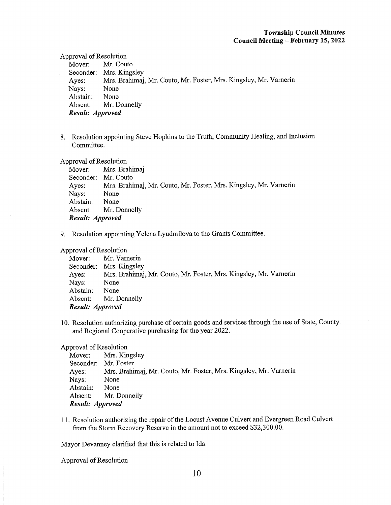### Township Council Minutes Council Meeting - February 15, 2022

Approval of Resolution

Mover: Mr. Couto Seconder: Mrs. Kingsley Ayes: Mrs. Brahimaj, Mr. Couto, Mr. Foster, Mrs. Kingsley, Mr. Vamerin Nays: None<br>Abstain: None Abstain: Absent: Mr. Donnelly Result: Approved

8. Resolution appointing Steve Hopkins to the Truth, Community Healing, and Inclusion Committee.

Approval of Resolution

Mover: Mrs. Brahimaj Seconder: Mr. Couto Ayes: Mrs. Brahimaj, Mr. Couto, Mr. Foster, Mrs. Kingsley, Mr. Vamerin Nays: None<br>Abstain: None Abstain: Absent: Mr. Donnelly Result: Approved

9. Resolution appointing Yelena Lyudmilova to the Grants Committee.

### Approval of Resolution

Mover: Mr. Varnerin Seconder: Mrs. Kingsley Ayes: Mrs. Brahimaj, Mr. Couto, Mr. Foster, Mrs. Kingsley, Mr. Varnerin Nays: None Abstain: None Absent: Mr. Donnelly Result: Approved

10. Resolution authorizing purchase of certain goods and services through the use of State, County. and Regional Cooperative purchasing for the year 2022.

### Approval of Resolution

Mover: Mrs. Kingsley Seconder: Mr. Foster Ayes: Mrs. Brahimaj, Mr. Couto, Mr. Foster, Mrs. Kingsley, Mr. Varnerin Nays: None Abstain: None Absent: Mr. Donnelly Result: Approved

11. Resolution authorizing the repair of the Locust Avenue Culvert and Evergreen Road Culvert from the Storm Recovery Reserve in the amount not to exceed \$32,300.00.

Mayor Devanney clarified that this is related to Ida.

Approval of Resolution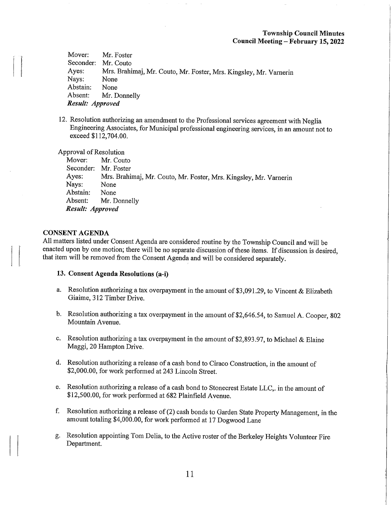Mover: Mr. Foster<br>Seconder: Mr. Couto Seconder:<br>Ayes: Mrs. Brahimaj, Mr. Couto, Mr. Foster, Mrs. Kingsley, Mr. Varnerin<br>None Nays: None<br>Abstain: None Abstain:<br>Absent: Mr. Donnelly Result: Approved

12. Resolution authorizing an amendment to the Professional services agreement with Neglia Engineering Associates, for Municipal professional engineering services, in an amount not to exceed \$112,704.00.

Approval of Resolution<br>Mover: Mr. Cou

Mr. Couto Seconder: Mr. Foster<br>Ayes: Mrs. Brahi Mrs. Brahimaj, Mr. Couto, Mr. Foster, Mrs. Kingsley, Mr. Varnerin<br>None Nays: None<br>Abstain: None Abstain:<br>Absent: Mr. Donnelly Result: Approved

## CONSENT AGENDA

All matters listed under Consent Agenda are considered routine by the Township Council and will be enacted upon by one motion; there will be no separate discussion of these items. If discussion is desired, that item will be removed from the Consent Agenda and will be considered separately.

#### 13. Consent Agenda Resolutions (a-i)

- a. Resolution authorizing a tax overpayment in the amount of \$3,091.29, to Vincent & Elizabeth Giaime, 312 Timber Drive.
- b. Resolution authorizing a tax overpayment in the amount of \$2,646.54, to Samuel A. Cooper, 802 Mountain Avenue.
- c. Resolution authorizing a tax overpayment in the amount of \$2,893.97, to Michael & Elaine Maggi, 20 Hampton Drive.
- d. Resolution authorizing a release of a cash bond to Ciraco Construction, in the amount of \$2,000.00, for work performed at 243 Lincoln Street.
- e. Resolution authorizing a release of a cash bond to Stonecrest Estate LLC,. in the amount of \$12,500.00, for work performed at 682 Plainfield Avenue.
- f. Resolution authorizing a release of (2) cash bonds to Garden State Property Management, in the amount totaling \$4,000.00, for work performed at 17 Dogwood Lane
- g. Resolution appointing Tom Delia, to the Active roster of the Berkeley Heights Volunteer Fire Department.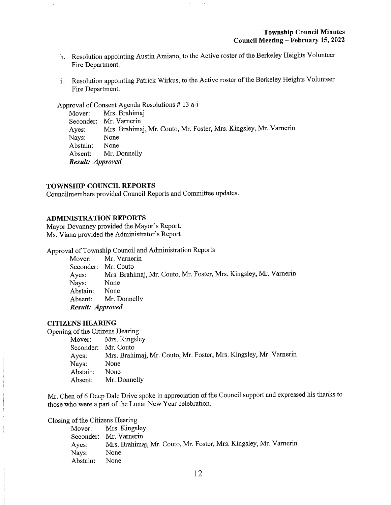- h. Resolution appointing Austin Amiano, to the Active roster of the Berkeley Heights Volunteer Fire Department.
- i. Resolution appointing Patrick Wirkus, to the Active roster of the Berkeley Heights Volunteer Fire Department.

Approval of Consent Agenda Resolutions # 13 a-i

Mover: Mrs. Brahimaj Seconder: Mr. Vamerin Ayes: Mrs. Brahimaj, Mr. Couto, Mr. Foster, Mrs. Kingsley, Mr. Varnerin<br>Nays: None None<br>None Abstain: Absent: Mr. Donnelly Result: Approved

### TOWNSHIP COUNCIL REPORTS

Councilmembers provided Council Reports and Committee updates.

### ADMINISTRATION REPORTS

Mayor Devanney provided the Mayor's Report. Ms. Viana provided the Administrator's Report

Approval of Township Council and Administration Reports

Mover: Mr. Vamerin Seconder: Mr. Couto Ayes: Mrs. Brahimaj, Mr. Couto, Mr. Foster, Mrs. Kingsley, Mr. Varnerin<br>Navs: None Nays: None<br>Abstain: None Abstain: Absent: Mr. Donnelly Result: Approved

### CITIZENS HEARING

Opening of the Citizens Hearing

Mover: Mrs. Kingsley Seconder: Mr. Couto Ayes: Mrs. Brahimaj, Mr. Couto, Mr. Foster, Mrs. Kingsley, Mr. Varnerin Nays: None<br>Abstain: None Abstain: Absent: Mr. Donnelly

Mr. Chen of 6 Deep Dale Drive spoke in appreciation of the Council support and expressed his thanks to those who were a part of the Lunar New Year celebration.

Closing of the Citizens Hearing

Mover: Mrs. Kingsley Seconder: Mr. Varnerin Ayes: Mrs. Brahimaj, Mr. Couto, Mr. Foster, Mrs. Kingsley, Mr. Varnerin<br>Nays: None Nays: None<br>Abstain: None Abstain: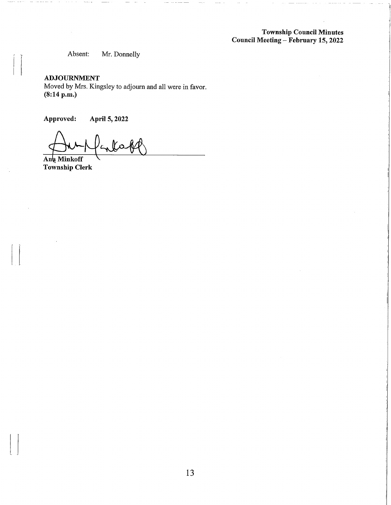Township Council Minutes Council Meeting - February 15, 2022

Absent: Mr. Donnelly

## ADJOURNMENT

Moved by Mrs. Kingsley to adjourn and all were in favor. (8:14 p.m.)

Approved: April 5,2022

Ana Minkoff

Township Clerk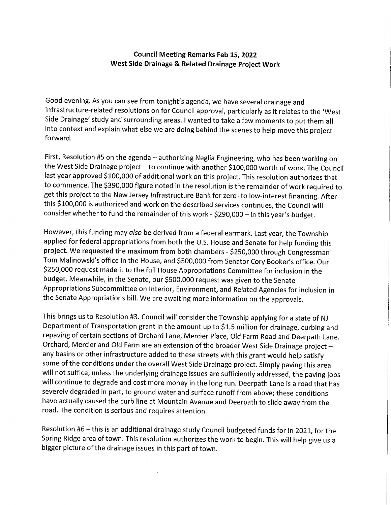## Council Meeting Remarks Feb 15, 2022 West Side Drainage & Related Drainage Project Work

Good evening. As you can see from tonight's agenda, we have several drainage and infrastructure-related resolutions on for Council approval, particularly as it relates to the 'West Side Drainage' study and surrounding areas. I wanted to take a few moments to put them all into context and explain what else we are doing behind the scenes to help move this project forward.

First, Resolution #5 on the agenda - authorizing Neglia Engineering, who has been working on the West Side Drainage project - to continue with another \$100,000 worth of work. The Council last year approved \$100,000 of additional work on this project. This resolution authorizes that to commence. The \$390/000 figure noted in the resolution is the remainder of work required to get this project to the New Jersey Infrastructure Bank for zero- to low-interest financing. After this \$100,000 is authorized and work on the described services continues, the Council will consider whether to fund the remainder of this work-\$290/000-in this year's budget.

However, this funding may also be derived from a federal earmark. Last year, the Township applied for federal appropriations from both the U.S. House and Senate for help funding this project. We requested the maximum from both chambers - \$250,000 through Congressman Tom Malinowski's office in the House, and \$500,000 from Senator Cory Booker's office. Our \$250,000 request made it to the full House Appropriations Committee for inclusion in the budget. Meanwhile, in the Senate, our \$500,000 request was given to the Senate Appropriations Subcommittee on Interior, Environment, and Related Agencies for inclusion in the Senate Appropriations bill. We are awaiting more information on the approvals.

This brings us to Resolution #3. Council will consider the Township applying for a state of NJ Department of Transportation grant in the amount up to \$1.5 million for drainage, curbing and repaving of certain sections of Orchard Lane, Mercier Place, Old Farm Road and Deerpath Lane. Orchard, Mercier and Old Farm are an extension of the broader West Side Drainage project any basins or other infrastructure added to these streets with this grant would help satisfy some of the conditions under the overall West Side Drainage project. Simply paving this area will not suffice; unless the underlying drainage issues are sufficiently addressed, the paving jobs will continue to degrade and cost more money in the long run. Deerpath Lane is a road that has severely degraded in part, to ground water and surface runoff from above; these conditions have actually caused the curb line at Mountain Avenue and Deerpath to slide away from the road. The condition is serious and requires attention.

Resolution #6 - this is an additional drainage study Council budgeted funds for in 2021, for the Spring Ridge area of town. This resolution authorizes the work to begin. This will help give us a bigger picture of the drainage issues in this part of town.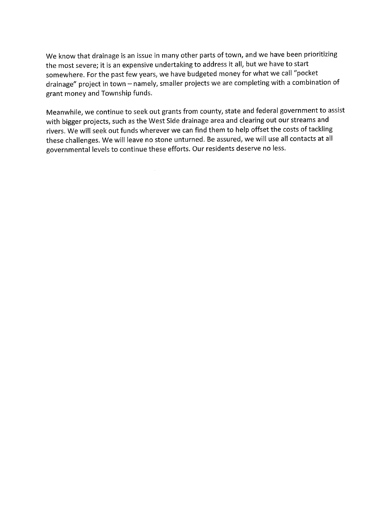We know that drainage is an issue in many other parts of town, and we have been prioritizing the most severe; it is an expensive undertaking to address it all, but we have to start somewhere. For the past few years, we have budgeted money for what we call "pocket drainage" project in town - namely, smaller projects we are completing with a combination of grant money and Township funds.

Meanwhile, we continue to seek out grants from county, state and federal government to assist with bigger projects, such as the West Side drainage area and clearing out our streams and rivers. We will seek out funds wherever we can find them to help offset the costs of tackling these challenges. We will leave no stone unturned. Be assured, we will use all contacts at all governmental levels to continue these efforts. Our residents deserve no less.

 $\sim 10$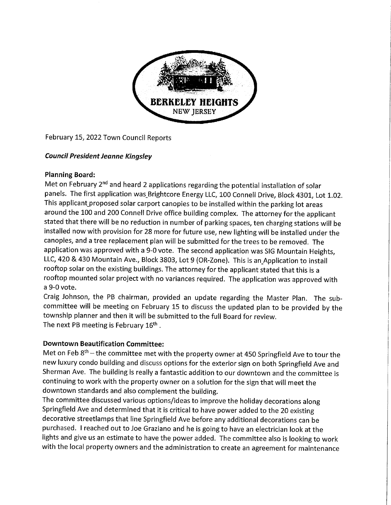

February 15, 2022 Town Council Reports

# Council President Jeanne Kingsley

# Planning Board:

Met on February 2<sup>nd</sup> and heard 2 applications regarding the potential installation of solar panels. The first application was Brightcore Energy LLC, 100 Connell Drive, Block 4301, Lot 1.02. This applicant\_proposed solar carport canopies to be installed within the parking lot areas around the 100 and 200 Connell Drive office building complex. The attorney for the applicant stated that there will be no reduction in number of parking spaces, ten charging stations will be installed now with provision for 28 more for future use, new lighting will be installed under the canopies, and a tree replacement plan will be submitted for the trees to be removed. The application was approved with a 9-0 vote. The second application was SIG Mountain Heights, LLC, 420 & 430 Mountain Ave., Block 3803, Lot 9 (OR-Zone). This is an Application to install rooftop solar on the existing buildings. The attorney for the applicant stated that this is a rooftop mounted solar project with no variances required. The application was approved with a 9-0 vote.

Craig Johnson, the PB chairman, provided an update regarding the Master Plan. The subcommittee will be meeting on February 15 to discuss the updated plan to be provided by the township planner and then it will be submitted to the full Board for review. The next PB meeting is February 16<sup>th</sup>.

# Downtown Beautification Committee:

Met on Feb  $8<sup>th</sup>$  – the committee met with the property owner at 450 Springfield Ave to tour the new luxury condo building and discuss options for the exterior sign on both Springfield Ave and Sherman Ave. The building is really a fantastic addition to our downtown and the committee is continuing to work with the property owner on a solution for the sign that will meet the downtown standards and also complement the building.

The committee discussed various options/ideas to improve the holiday decorations along Springfield Ave and determined that it is critical to have power added to the 20 existing decorative streetlamps that line Springfield Ave before any additional decorations can be purchased. I reached out to Joe Graziano and he is going to have an electrician look at the lights and give us an estimate to have the power added. The committee also is looking to work with the local property owners and the administration to create an agreement for maintenance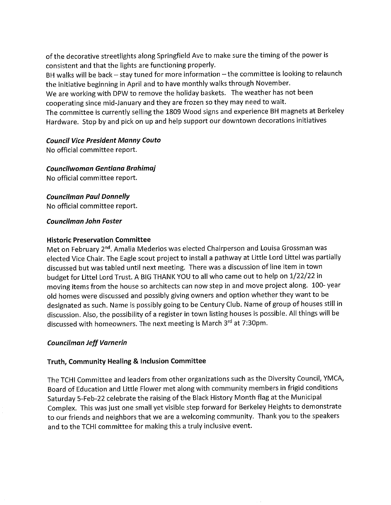of the decorative streetlights along Springfield Ave to make sure the timing of the power is consistent and that the lights are functioning properly.

BH walks will be back - stay tuned for more information - the committee is looking to relaunch the initiative beginning in April and to have monthly walks through November.

We are working with DPW to remove the holiday baskets. The weather has not been cooperating since mid-January and they are frozen so they may need to wait.

The committee is currently selling the 1809 Wood signs and experience BH magnets at Berkeley Hardware. Stop by and pick on up and help support our downtown decorations initiatives

## Council Vice President Manny Couto

No official committee report.

Councilwoman Gentiana Brahimaj No official committee report.

Councilman Paul Donnelly

No official committee report.

## Councilman John Foster

## Historic Preservation Committee

Met on February 2<sup>nd</sup>. Amalia Mederios was elected Chairperson and Louisa Grossman was elected Vice Chair. The Eagle scout project to install a pathway at Little Lord Littel was partially discussed but was tabled until next meeting. There was a discussion of line item in town budget for Littel Lord Trust. A BIG THANK YOU to all who came out to help on 1/22/22 in moving items from the house so architects can now step in and move project along. 100-year old homes were discussed and possibly giving owners and option whether they want to be designated as such. Name is possibly going to be Century Club. Name of group of houses still in discussion. Also, the possibility of a register in town listing houses is possible. All things will be discussed with homeowners. The next meeting is March 3rd at 7:30pm.

# Councilman Jeff Varnerin

# Truth, Community Healing & Inclusion Committee

The TCHI Committee and leaders from other organizations such as the Diversity Council, YMCA, Board of Education and Little Flower met along with community members in frigid conditions Saturday 5-Feb-22 celebrate the raising of the Black History Month flag at the Municipal Complex. This was just one small yet visible step forward for Berkeley Heights to demonstrate to our friends and neighbors that we are a welcoming community. Thank you to the speakers and to the TCHI committee for making this a truly inclusive event.